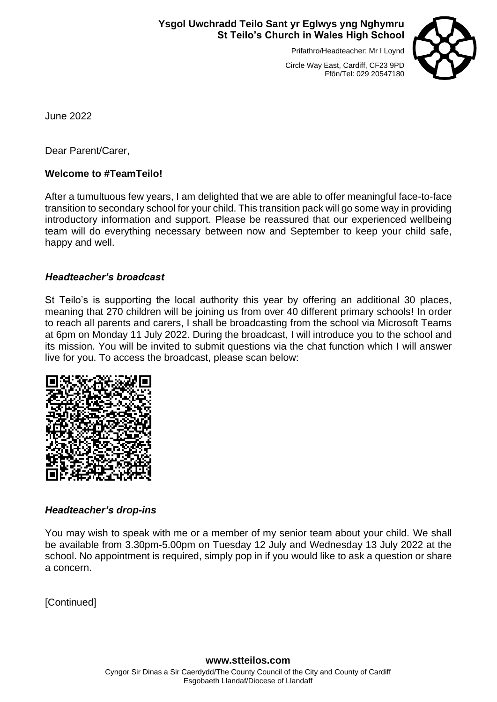# **Ysgol Uwchradd Teilo Sant yr Eglwys yng Nghymru St Teilo's Church in Wales High School**

Prifathro/Headteacher: Mr I Loynd



Circle Way East, Cardiff, CF23 9PD Ffôn/Tel: 029 20547180

June 2022

Dear Parent/Carer,

# **Welcome to #TeamTeilo!**

After a tumultuous few years, I am delighted that we are able to offer meaningful face-to-face transition to secondary school for your child. This transition pack will go some way in providing introductory information and support. Please be reassured that our experienced wellbeing team will do everything necessary between now and September to keep your child safe, happy and well.

# *Headteacher's broadcast*

St Teilo's is supporting the local authority this year by offering an additional 30 places, meaning that 270 children will be joining us from over 40 different primary schools! In order to reach all parents and carers, I shall be broadcasting from the school via Microsoft Teams at 6pm on Monday 11 July 2022. During the broadcast, I will introduce you to the school and its mission. You will be invited to submit questions via the chat function which I will answer live for you. To access the broadcast, please scan below:



# *Headteacher's drop-ins*

You may wish to speak with me or a member of my senior team about your child. We shall be available from 3.30pm-5.00pm on Tuesday 12 July and Wednesday 13 July 2022 at the school. No appointment is required, simply pop in if you would like to ask a question or share a concern.

[Continued]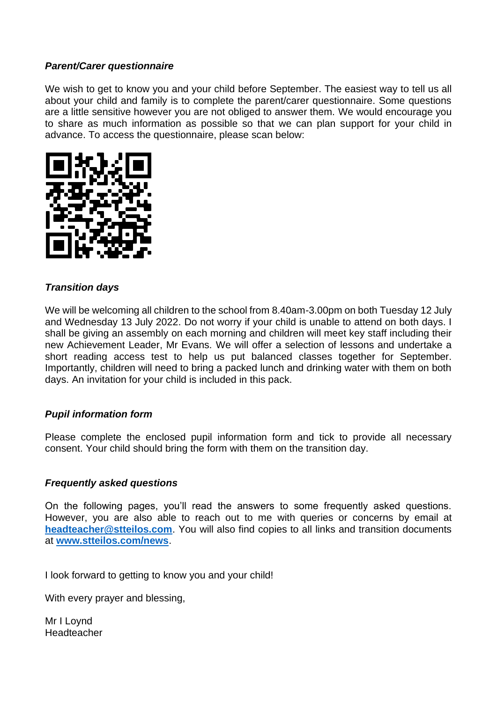# *Parent/Carer questionnaire*

We wish to get to know you and your child before September. The easiest way to tell us all about your child and family is to complete the parent/carer questionnaire. Some questions are a little sensitive however you are not obliged to answer them. We would encourage you to share as much information as possible so that we can plan support for your child in advance. To access the questionnaire, please scan below:



# *Transition days*

We will be welcoming all children to the school from 8.40am-3.00pm on both Tuesday 12 July and Wednesday 13 July 2022. Do not worry if your child is unable to attend on both days. I shall be giving an assembly on each morning and children will meet key staff including their new Achievement Leader, Mr Evans. We will offer a selection of lessons and undertake a short reading access test to help us put balanced classes together for September. Importantly, children will need to bring a packed lunch and drinking water with them on both days. An invitation for your child is included in this pack.

# *Pupil information form*

Please complete the enclosed pupil information form and tick to provide all necessary consent. Your child should bring the form with them on the transition day.

# *Frequently asked questions*

On the following pages, you'll read the answers to some frequently asked questions. However, you are also able to reach out to me with queries or concerns by email at **[headteacher@stteilos.com](mailto:headteacher@stteilos.com)**. You will also find copies to all links and transition documents at **[www.stteilos.com/news](http://www.stteilos.com/news)**.

I look forward to getting to know you and your child!

With every prayer and blessing.

Mr I Loynd Headteacher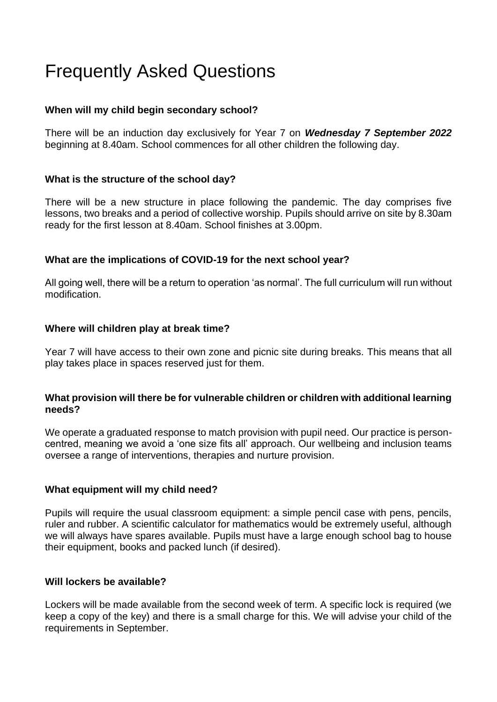# Frequently Asked Questions

# **When will my child begin secondary school?**

There will be an induction day exclusively for Year 7 on *Wednesday 7 September 2022* beginning at 8.40am. School commences for all other children the following day.

# **What is the structure of the school day?**

There will be a new structure in place following the pandemic. The day comprises five lessons, two breaks and a period of collective worship. Pupils should arrive on site by 8.30am ready for the first lesson at 8.40am. School finishes at 3.00pm.

# **What are the implications of COVID-19 for the next school year?**

All going well, there will be a return to operation 'as normal'. The full curriculum will run without modification.

# **Where will children play at break time?**

Year 7 will have access to their own zone and picnic site during breaks. This means that all play takes place in spaces reserved just for them.

# **What provision will there be for vulnerable children or children with additional learning needs?**

We operate a graduated response to match provision with pupil need. Our practice is personcentred, meaning we avoid a 'one size fits all' approach. Our wellbeing and inclusion teams oversee a range of interventions, therapies and nurture provision.

# **What equipment will my child need?**

Pupils will require the usual classroom equipment: a simple pencil case with pens, pencils, ruler and rubber. A scientific calculator for mathematics would be extremely useful, although we will always have spares available. Pupils must have a large enough school bag to house their equipment, books and packed lunch (if desired).

# **Will lockers be available?**

Lockers will be made available from the second week of term. A specific lock is required (we keep a copy of the key) and there is a small charge for this. We will advise your child of the requirements in September.